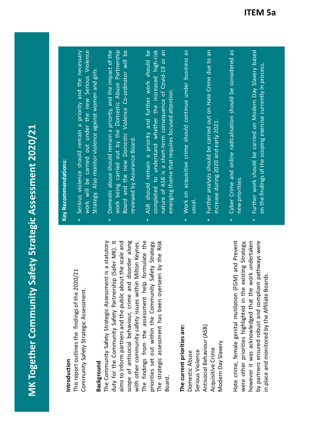This report outlines the findings of the 2020/21 **Introduction**<br>This report outlines the findings of the 2020/21 Community Safety Strategic Assessment. Community Safety Strategic Assessment.

duty for the Community Safety Partnership (Safer MK). It The strategic assessment has been overseen by the Risk duty for the Community Safety Partnership (Safer MK). It scope of antisocial behaviour, crime and disorder along The findings from the assessment help formulate the **Background**<br>The Community Safety Strategic Assessment is a statutory The Community Safety Strategic Assessment is a statutory aims to inform partners and the public about the scale and with other community safety issues within Milton Keynes. priorities set out within the Community Safety Strategy. The strategic assessment has been overseen by the Risk aims to inform partners and the public about the scale and scope of antisocial behaviour, crime and disorder along with other community safety issues within Milton Keynes. The findings from the assessment help formulate the priorities set out within the Community Safety Strategy. Board.

### The current priorities are: **The current priorities are:**

Antisocial Behaviour (ASB) Antisocial Behaviour (ASB) Modern Day Slavery Modern Day Slavery Acquisitive Crime Acquisitive Crime Serious Violence Domestic Abuse Serious Violence Domestic Abuse

by partners ensured robust and compliant pathways were Hate crime, female genital mutilation (FGM) and Prevent however it was acknowledged that the work undertaken were other priorities highlighted in the existing Strategy, Hate crime, female genital mutilation (FGM) and Prevent were other priorities highlighted in the existing Strategy, however it was acknowledged that the work undertaken by partners ensured robust and compliant pathways were in place and monitored by the Affiliate Boards. in place and monitored by the Affiliate Boards.

#### **Key Recommendations: Key Recommendations:**

•

- work will be carried out under the new Serious Violence Serious violence should remain a priority and the necessary Serious violence should remain a priority and the necessary work will be carried out under the new Serious Violence Strategy. Also monitor violence against women and girls. Strategy. Also monitor violence against women and girls.
- Domestic abuse should remain a priority, and the impact of the work being carried out by the Domestic Abuse Partnership Board and the new Domestic Violence Co-ordinator will be work being carried out by the Domestic Abuse Partnership Board and the new Domestic Violence Co-ordinator will be **•** Domestic abuse should remain a priority, and the impact of th reviewed by Assurance Board. reviewed by Assurance Board. •
- completed to understand whether the increased high-risk nature of ASB is a short-term consequence of Covid-19 or an ASB should remain a priority and further work should be completed to understand whether the increased high-risk ASB should remain a priority and further work should be nature of ASB is a short-term consequence of Covid-19 or an emerging theme that requires focused attention. emerging theme that requires focused attention.
- Work on acquisitive crime should continue under business as Work on acquisitive crime should continue under business as usual.
- Further analysis should be carried out on Hate Crime due to an Further analysis should be carried out on Hate Crime due to an ncrease during 2020 and early 2021. increase during 2020 and early 2021. •
- Cyber Crime and online radicalisation should be considered as Cyber Crime and online radicalisation should be considered as new priorities.
- Further work should be carried on Modern Day Slavery based Further work should be carried on Modern Day Slavery based on the findings of the scoping exercise currently in process. on the findings of the scoping exercise currently in process.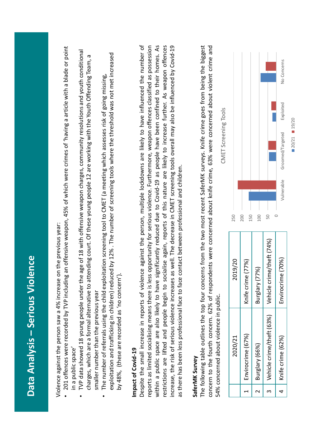|                          | Data Analysis - Serious Violence                                                                                                                                                                                                                                                                                                                                                                                                                                                                                                                                                                                                                                                                                                                                                                                                                                        |                                                                                            |            |            |                                                                                             |           |             |
|--------------------------|-------------------------------------------------------------------------------------------------------------------------------------------------------------------------------------------------------------------------------------------------------------------------------------------------------------------------------------------------------------------------------------------------------------------------------------------------------------------------------------------------------------------------------------------------------------------------------------------------------------------------------------------------------------------------------------------------------------------------------------------------------------------------------------------------------------------------------------------------------------------------|--------------------------------------------------------------------------------------------|------------|------------|---------------------------------------------------------------------------------------------|-----------|-------------|
|                          | 201 offences were recorded by TVP including an offensive weapon, 45% of which were crimes of 'having a article with a blade or point<br>TVP data showed 18 young people under the age of 18 with offensive weapon charges, community resolutions and youth conditional<br>exploitation and trafficking in children) reduced by 12%. The number of screening tools where the threshold was not met increased<br>charges, which are a formal alternative to attending court. Of these young people 12 are working with the Youth Offending Team, a<br>The number of referrals using the child exploitation screening tool to CMET (a meeting which assesses risk of going missing,<br>Violence against the person saw a 4% increase on the previous year:<br>by 48%, (these are recorded as 'no concern').<br>smaller number than the previous year<br>in a public space' |                                                                                            |            |            |                                                                                             |           |             |
|                          | Despite the small increase in reports of violence against the person, multiple lockdowns are likely to have influenced the number of<br>reports as limited socialising means there is less opportunity for serious violence. Furthermore, weapon offences classified as possession<br>within a public space are also likely to have significantly reduced due to Covid-19 as people have been confined to their homes. As<br>as there has been less professional face to face contact between professional and children.<br>increase, the risk of serious violence increase<br>restrictions are lifted and people begin to<br>Impact of Covid-19                                                                                                                                                                                                                        | socialise again, reports of this nature are likely to increase further. As weapon offences |            |            | is as well. The decrease in CMET screening tools overall may also be influenced by Covid-19 |           |             |
|                          | The following table outlines the top four concerns from the two most recent SaferMK surveys. Knife crime goes from being the biggest<br>concern to the fourth concern. 62% of respondents were concerned about knife crime, 63% were concerned about violent crime and<br>54% concerned about violence in public.<br>SaferMK Survey                                                                                                                                                                                                                                                                                                                                                                                                                                                                                                                                     |                                                                                            |            |            | CMET Screening Tools                                                                        |           |             |
|                          | 2020/21                                                                                                                                                                                                                                                                                                                                                                                                                                                                                                                                                                                                                                                                                                                                                                                                                                                                 | 2019/20                                                                                    | 250        |            |                                                                                             |           |             |
| $\overline{\phantom{0}}$ | Envirocrime (67%)                                                                                                                                                                                                                                                                                                                                                                                                                                                                                                                                                                                                                                                                                                                                                                                                                                                       | Knife crime (77%)                                                                          | 200<br>150 |            |                                                                                             |           |             |
| $\sim$                   | Burglary (66%)                                                                                                                                                                                                                                                                                                                                                                                                                                                                                                                                                                                                                                                                                                                                                                                                                                                          | (77%)<br>Burglary                                                                          | 100        |            |                                                                                             |           |             |
| S                        | Vehicle crime/theft (63%)                                                                                                                                                                                                                                                                                                                                                                                                                                                                                                                                                                                                                                                                                                                                                                                                                                               | Vehicle crime/theft (74%)                                                                  | 50         |            |                                                                                             |           |             |
| 4                        | Knife crime (62%)                                                                                                                                                                                                                                                                                                                                                                                                                                                                                                                                                                                                                                                                                                                                                                                                                                                       | Envirocrime (70%)                                                                          | $\circ$    | Vulnerable | Groomed/Targeted                                                                            | Exploited | No Concerns |
|                          |                                                                                                                                                                                                                                                                                                                                                                                                                                                                                                                                                                                                                                                                                                                                                                                                                                                                         |                                                                                            |            |            | $20/21$ $19/20$                                                                             |           |             |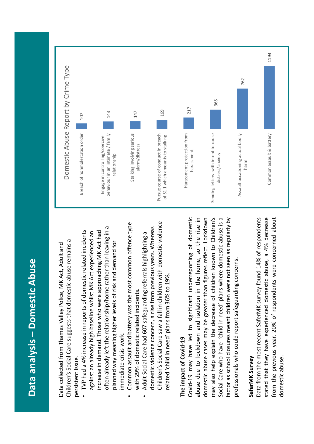### **Data analysis – Domestic Abuse**  Data analysis - Domestic Abuse

Children's Social Care suggests that domestic abuse remains a Children's Social Care suggests that domestic abuse remains a Data collected from Thames Valley Police, MK Act, Adult and Data collected from Thames Valley Police, MK Act, Adult and persistent issue. persistent issue.

- often already left the relationship/home rather than leaving in a often already left the relationship/home rather than leaving in a • TVP had a 4% increase in reports of domestic related incidents TVP had a 4% increase in reports of domestic related incidents increase in demand. Those who were approaching MK Act had against an already high baseline whilst MK Act experienced an increase in demand. Those who were approaching MK Act had against an already high baseline whilst MK Act experienced an planned way meaning higher levels of risk and demand for planned way meaning higher levels of risk and demand for immediate crisis work. immediate crisis work.
- Common assault and battery was the most common offence type Common assault and battery was the most common offence type with 29% of domestic related incidents. with 29% of domestic related incidents.

•

Children's Social Care saw a fall in children with domestic violence Children's Social Care saw a fall in children with domestic violence domestic violence concern, a rise from previous years. Whereas domestic violence concern, a rise from previous years. Whereas Adult Social Care had 607 safeguarding referrals highlighting a Adult Social Care had 607 safeguarding referrals highlighting a related 'child in need' plans from 36% to 19%. related 'child in need' plans from 36% to 19%. •

#### The impact of Covid-19 **The impact of Covid-19**

Social Care who have 'child in need' plans where domestic abuse is a may also help explain the decrease of children known to Children's Social Care who have 'child in need' plans where domestic abuse is a Covid-19 may have led to significant underreporting of domestic abuse due to lockdown and isolation in the home, so the rise in domestic abuse cases may be greater than figures reflect. Lockdown factor as school closures meant children were not seen as regularly by Covid-19 may have led to significant underreporting of domestic abuse due to lockdown and isolation in the home, so the rise in may also help explain the decrease of children known to Children's factor as school closures meant children were not seen as regularly by domestic abuse cases may be greater than figures reflect. Lockdown orofessionals who could report safeguarding concerns. professionals who could report safeguarding concerns.

#### SaferMK Survey **SaferMK Survey**

Data from the most recent SaferMK survey found 14% of respondents stated that they have experienced domestic abuse, a 4% decrease from the previous year. 20% of respondents were concerned about Data from the most recent SaferMK survey found 14% of respondents from the previous year. 20% of respondents were concerned about stated that they have experienced domestic abuse, a 4% decrease domestic abuse. domestic abuse.

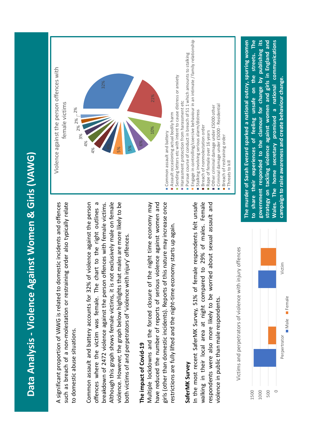

A significant proportion of VAWG is related to domestic incidents and offences such as breach of a non-molestation or restraining order also typically relate A significant proportion of VAWG is related to domestic incidents and offences such as breach of a non-molestation or restraining order also typically relate to domestic abuse situations. to domestic abuse situations.

offences where the victim was female. The chart to the right outlines a Common assault and battery accounts for 32% of violence against the person offences where the victim was female. The chart to the right outlines a Although this graph shows female victims, it is not exclusively male on female violence. However, the graph below highlights that males are more likely to be breakdown of 2472 violence against the person offences with female victims. Common assault and battery accounts for 32% of violence against the person breakdown of 2472 violence against the person offences with female victims. Although this graph shows female victims, it is not exclusively male on female violence. However, the graph below highlights that males are more likely to be both victims of and perpetrators of 'violence with injury' offences. both victims of and perpetrators of 'violence with injury' offences.

#### The impact of Covid-19 **The impact of Covid-19**

Multiple lockdowns and the forced closure of the night time economy may have reduced the number of reports of serious violence against women and girls (other than domestic incidents). Reports of this nature may increase once Multiple lockdowns and the forced closure of the night time economy may have reduced the number of reports of serious violence against women and girls (other than domestic incidents). Reports of this nature may increase once restrictions are fully lifted and the night-time economy starts up again. restrictions are fully lifted and the night-time economy starts up again.

#### SaferMK Survey **SaferMK Survey**

In the most recent SaferMK Survey, 51% of female respondents felt unsafe walking in their local area at night compared to 29% of males. Female respondents were also more likely to be worried about sexual assault and In the most recent SaferMK Survey, 51% of female respondents felt unsafe walking in their local area at night compared to 29% of males. Female respondents were also more likely to be worried about sexual assault and violence in public than male respondents. violence in public than male respondents.







to share their experiences of feeling unsafe on the streets. The government responded to the clamour for change by publishing its The murder of Sarah Everard sparked a national outcry, spurring women strategy on tackling violence against women and girls in England and Wales. The home secretary promised a national communications **to share their experiences of feeling unsafe on the streets. The government responded to the clamour for change by publishing its Wales. The home secretary promised a national communications The murder of Sarah Everard sparked a national outcry, spurring women strategy on tackling violence against women and girls in England and** campaign to raise awareness and create behaviour change. **campaign to raise awareness and create behaviour change.**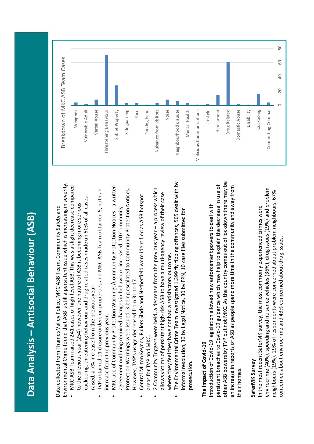## **Data Analysis – Antisocial Behaviour (ASB)** Data Analysis – Antisocial Behaviour (ASB)

Environmental Crime found that ASB is still a persistent issue which is increasing in severity. Environmental Crime found that ASB is still a persistent issue which is increasing in severity. Data collected from Thames Valley Police, MKC ASB Team, Community Safety and Data collected from Thames Valley Police, MKC ASB Team, Community Safety and

- MKC ASB Team raised 241 cases of high-level ASB. This was a slight decrease compared • MKC ASB Team raised 241 cases of high-level ASB. This was a slight decrease compared cuckooing, threatening behaviour and drug related cases made up 60% of all cases cuckooing, threatening behaviour and drug related cases made up 60% of all cases to the previous year (254) however the nature of ASB is becoming more serious to the previous year (254) however the nature of ASB is becoming more serious raised, a 7% increase from the previous year.
	- TVP obtained 11 closure orders on properties and MKC ASB Team obtained 5, both an TVP obtained 11 closure orders on properties and MKC ASB Team obtained 5, both an raised, a 7% increase from the previous year. increase from the previous year. increase from the previous year.

•

- MKC use of Community Protection Warnings/Community Protection Notices a written MKC use of Community Protection Warnings/Community Protection Notices - a written Protection Warnings were issued, 3 being escalated to Community Protection Notices. Protection Warnings were issued, 3 being escalated to Community Protection Notices. agreement outlining required changes in behaviour- increased. 10 Community agreement outlining required changes in behaviour-increased. 10 Community However, TVP's usage decreased from 31 to 17. However, TVP's usage decreased from 31 to 17. •
	- Central Milton Keynes, Fullers Slade and Netherfield were identified as ASB hotspot Central Milton Keynes, Fullers Slade and Netherfield were identified as ASB hotspot areas for TVP and MKC. areas for TVP and MKC. •
- 2 Community Triggers were held, a decrease from the previous year a process which 2 Community Triggers were held, a decrease from the previous year – a process which allows victims of persistent high-risk ASB to have a multi-agency review of their case allows victims of persistent high-risk ASB to have a multi-agency review of their case where they feel they have not had a satisfactory outcome. where they feel they have not had a satisfactory outcome. •
- The Environmental Crime Team investigated 1,399 fly tipping offences, 505 dealt with by The Environmental Crime Team investigated 1,399 fly tipping offences, 505 dealt with by informal resolution, 30 by Legal Notice, 30 by FPN, 10 case files submitted for informal resolution, 30 by Legal Notice, 30 by FPN, 10 case files submitted for prosecution. prosecution. •

#### The impact of Covid-19 **The impact of Covid-19**

other ASB powers by TVP but not MKC. As the country comes out of lockdown there may be other ASB powers by TVP but not MKC. As the country comes out of lockdown there may be persistent breaches to Covid-19 guidance which may help to explain the decrease in use of persistent breaches to Covid-19 guidance which may help to explain the decrease in use of an increase in reports of ASB as people spend more time in the community and away from an increase in reports of ASB as people spend more time in the community and away from ntroduction of Covid-19 legislation allowed new enforcement powers to deal with Introduction of Covid-19 legislation allowed new enforcement powers to deal with their homes. their homes.

#### SaferMK Survey **SaferMK Survey**

concerned about envirocrime and 43% concerned about drug issues.  $\blacksquare$ envirocrime (40%), speeding and nuisance vehicles (36%), drug issues (19%) and problem envirocrime (40%), speeding and nuisance vehicles (36%), drug issues (19%) and problem neighbours (19%). 29% of respondents were concerned about problem neighbours, 67% neighbours (19%). 29% of respondents were concerned about problem neighbours, 67% In the most recent SaferMK survey, the most commonly experienced crimes were In the most recent SaferMK survey, the most commonly experienced crimes were concerned about envirocrime and 43% concerned about drug issues.

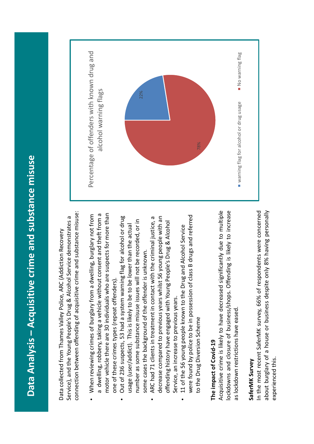# Data Analysis – Acquisitive crime and substance misuse **Data Analysis – Acquisitive crime and substance misuse**

connection between offending of acquisitive crime and substance misuse: connection between offending of acquisitive crime and substance misuse: Service), and the Young People's Drug & Alcohol Service demonstrates a Service), and the Young People's Drug & Alcohol Service demonstrates a Data collected from Thames Valley Police, ARC (Addiction Recovery Data collected from Thames Valley Police, ARC (Addiction Recovery

- motor vehicle there are 30 individuals who are suspects for more than a dwelling, robbery, taking a vehicle without consent and theft from a a dwelling, robbery, taking a vehicle without consent and theft from a motor vehicle there are 30 individuals who are suspects for more than When reviewing crimes of burglary from a dwelling, burglary not from When reviewing crimes of burglary from a dwelling, burglary not from one of these crimes types (repeat offenders). one of these crimes types (repeat offenders). •
	- Out of 236 suspects, 53 had a system warning flag for alcohol or drug Out of 236 suspects, 53 had a system warning flag for alcohol or drug number as some substance misuse issues will not be recorded, or in number as some substance misuse issues will not be recorded, or in usage (user/addict). This is likely to be to be lower than the actual usage (user/addict). This is likely to be to be lower than the actual some cases the background of the offender is unknown. some cases the background of the offender is unknown. •
- decrease compared to previous years whilst 56 young people with an ARC had 71 clients in treatment in contact with the criminal justice, a ARC had 71 clients in treatment in contact with the criminal justice, a decrease compared to previous years whilst 56 young people with an offending history have engaged with Young People's Drug & Alcohol offending history have engaged with Young People's Drug & Alcohol Service, an increase to previous years. Service, an increase to previous years. •
- were found by police to be in possession of class B drugs and referred were found by police to be in possession of class B drugs and referred 11 of the 56 young people known to the Drug and Alcohol Service 11 of the 56 young people known to the Drug and Alcohol Service to the Drug Diversion Scheme to the Drug Diversion Scheme •

#### The impact of Covid-19 **The impact of Covid-19**

Acquisitive crime is likely to have decreased significantly due to multiple lockdowns and closure of business/shops. Offending is likely to increase Acquisitive crime is likely to have decreased significantly due to multiple lockdowns and closure of business/shops. Offending is likely to increase as lockdown restrictions have eased. as lockdown restrictions have eased.

#### SaferMK Survey **SaferMK Survey**

In the most recent SaferMK survey, 66% of respondents were concerned about burglary of a house or business despite only 8% having personally In the most recent SaferMK survey, 66% of respondents were concerned about burglary of a house or business despite only 8% having personally experienced this. experienced this.

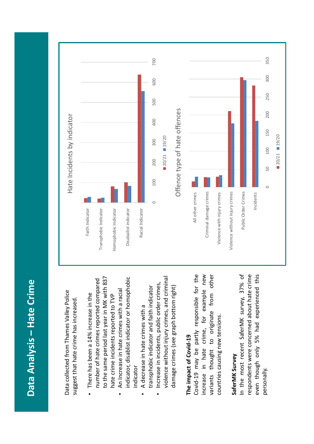### Data Analysis - Hate Crime **Data Analysis – Hate Crime**

Data collected from Thames Valley Police Data collected from Thames Valley Police suggest that hate crime has increased. suggest that hate crime has increased.

- to the same period last year in MK with 837 to the same period last year in MK with 837 number of hate crimes reported compared number of hate crimes reported compared • There has been a 14% increase in the There has been a 14% increase in the hate crime incidents reported to TVP hate crime incidents reported to TVP
- indicator, disablist indicator or homophobic indicator, disablist indicator or homophobic An Increase in hate crimes with a racial An Increase in hate crimes with a racial indicator •
- transphobic indicator and faith indicator transphobic indicator and faith indicator A decrease in hate crimes with a A decrease in hate crimes with a •
- violence without injury crimes, and criminal violence without injury crimes, and criminal Increase in incidents, public order crimes, Increase in incidents, public order crimes, damage crimes (see graph bottom right) damage crimes (see graph bottom right) •

#### The impact of Covid-19 **The impact of Covid-19**

Covid-19 may be partly responsible for the increase in hate crime, for example new variants thought to originate from other variants thought to originate from other Covid-19 may be partly responsible for the increase in hate crime, for example new countries causing new tensions. countries causing new tensions.

#### SaferMK Survey **SaferMK Survey**

respondents were concerned about hate crime In the most recent SaferMK survey, 37% of even though only 5% had experienced this In the most recent SaferMK survey, 37% of respondents were concerned about hate crime even though only 5% had experienced this personally.

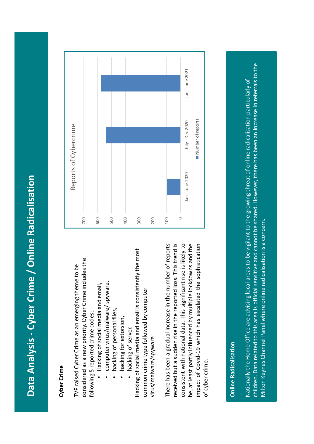# **Data Analysis - Cyber Crime / Online Radicalisation**  Data Analysis - Cyber Crime / Online Radicalisation

### **Cyber Crime**

considered as a new priority. Cyber Crime includes the considered as a new priority. Cyber Crime includes the TVP raised Cyber Crime as an emerging theme to be TVP raised Cyber Crime as an emerging theme to be following 5 reported crime codes: following 5 reported crime codes:

- Hacking of social media and email, Hacking of social media and email, •
- computer virus/malware/ spyware, computer virus/malware/ spyware, •
	- hacking of personal files, hacking of personal files, •
		- hacking for extorsion, hacking for extorsion, •
			- hacking of server. hacking of server. •

Hacking of social media and email is consistently the most Hacking of social media and email is consistently the most common crime type followed by computer common crime type followed by computer virus/malware/spyware virus/malware/spyware There has been a gradual increase in the number of reports received but a sudden rise in the reported loss. This trend is received but a sudden rise in the reported loss. This trend is consistent with national data. This significant rise is likely to be, at least partly influenced by multiple lockdowns and the impact of Covid-19 which has escalated the sophistication There has been a gradual increase in the number of reports consistent with national data. This significant rise is likely to be, at least partly influenced by multiple lockdowns and the impact of Covid-19 which has escalated the sophistication of cyber crime. of cyber crime.



#### **Online Radicalisation Online Radicalisation**

children. Data related to this area is official sensitive and cannot be shared. However, there has been an increase in referrals to the children. Data related to this area is official sensitive and cannot be shared. However, there has been an increase in referrals to the Nationally the Home Office are advising local areas to be vigilant to the growing threat of online radicalisation particularly of Nationally the Home Office are advising local areas to be vigilant to the growing threat of online radicalisation particularly of Milton Keynes Channel Panel where online radicalisation is a concern. Milton Keynes Channel Panel where online radicalisation is a concern.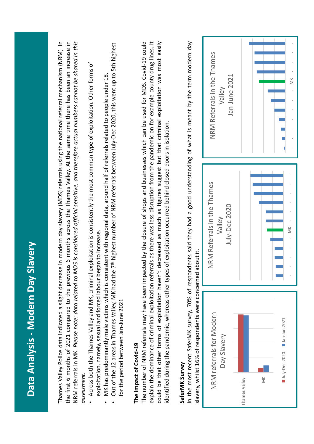| exploitation, namely, sexual and forced labour began to increase<br>Data Analysis - Modern Day Slavery<br>Thames Valley Police data indicated a slight decrea<br>Across both the Thames Valley and MK, criminal<br>slavery, whilst 16% of respondents were concerned<br>for the period between Jan-June 2021<br>The impact of Covid-19<br>SaferMK Survey<br>assessment. | NRM referrals in MK. Please note: data related to MDS is considered official sensitive, and therefore actual numbers cannot be shared in this<br>explain the dominance of criminal exploitation referrals as there was less disruption from the pandemic on for example county drug lines. It<br>could be that other forms of exploitation haven't decreased as much as figures suggest but that criminal exploitation was most easily<br>the first 6 months of 2021 compared to the previous 6 months across the Thames Valley. At the same time there has been an increase in<br>The number of NRM referrals may have been impacted by the closure of shops and businesses which can be used for MDS. Covid-19 could<br>In the most recent SaferMK survey, 70% of respondents said they had a good understanding of what is meant by the term modern day<br>Out of the 12 areas in Thames Valley, MK had the 7 <sup>th</sup> highest number of NRM referrals between July-Dec 2020, this went up to 5th highest<br>exploitation is consistently the most common type of exploitation. Other forms of<br>MK has predominantly male victims which is consistent with regional data, around half of referrals related to people under 18<br>identified during the pandemic, whereas other types of exploitation occurred behind closed doors in isolation.<br>about it. | se in modern day slavery (MDS) referrals using the national referral mechanism (NRM) in |
|-------------------------------------------------------------------------------------------------------------------------------------------------------------------------------------------------------------------------------------------------------------------------------------------------------------------------------------------------------------------------|------------------------------------------------------------------------------------------------------------------------------------------------------------------------------------------------------------------------------------------------------------------------------------------------------------------------------------------------------------------------------------------------------------------------------------------------------------------------------------------------------------------------------------------------------------------------------------------------------------------------------------------------------------------------------------------------------------------------------------------------------------------------------------------------------------------------------------------------------------------------------------------------------------------------------------------------------------------------------------------------------------------------------------------------------------------------------------------------------------------------------------------------------------------------------------------------------------------------------------------------------------------------------------------------------------------------------------------------------------------------|-----------------------------------------------------------------------------------------|
| NRM referrals for Modern<br>Jan-Jun 2021<br>Day Slavery<br>July-Dec 2020<br>$\leq$<br>Thames Valley                                                                                                                                                                                                                                                                     | NRM Referrals in the Thames<br>July-Dec 2020<br>Valley<br>š                                                                                                                                                                                                                                                                                                                                                                                                                                                                                                                                                                                                                                                                                                                                                                                                                                                                                                                                                                                                                                                                                                                                                                                                                                                                                                            | NRM Referrals in the Thames<br>Jan-June 2021<br>š<br>Valley                             |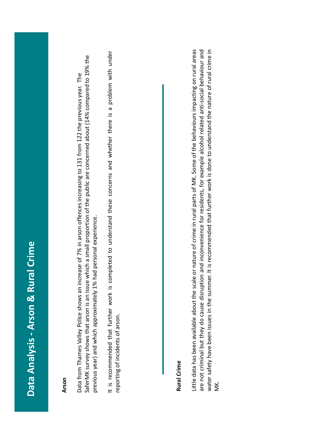## **Data Analysis - Arson & Rural Crime**  Data Analysis - Arson & Rural Crime

#### **Arson**

SaferMK survey shows that arson is an issue which a small proportion of the public are concerned about (14% compared to 19% the SaferMK survey shows that arson is an issue which a small proportion of the public are concerned about (14% compared to 19% the Data from Thames Valley Police shows an increase of 7% in arson offences increasing to 131 from 122 the previous year. The 7% in arson offences increasing to 131 from 122 the previous year. The previous year) and which approximately 1% had personal experience. previous year) and which approximately 1% had personal experience. Data from Thames Valley Police shows an increase of

It is recommended that further work is completed to understand these concerns and whether there is a problem with under It is recommended that further work is completed to understand these concerns and whether there is a problem with under reporting of incidents of arson. reporting of incidents of arson.

#### **Rural Crime**

Little data has been available about the scale or nature of crime in rural parts of MK. Some of the behaviours impacting on rural areas water safety have been issues in the summer. It is recommended that further work is done to understand the nature of rural crime in are not criminal but they do cause disruption and inconvenience for residents, for example alcohol related anti-social behaviour and Little data has been available about the scale or nature of crime in rural parts of MK. Some of the behaviours impacting on rural areas water safety have been issues in the summer. It is recommended that further work is done to understand the nature of rural crime in are not criminal but they do cause disruption and inconvenience for residents, for example alcohol related anti-social behaviour and MK.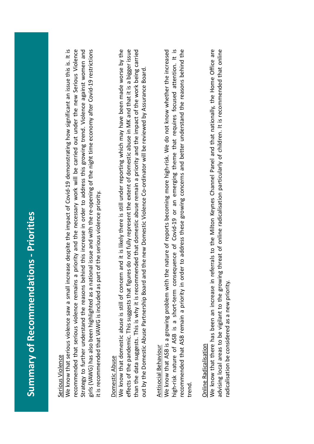## **Summary of Recommendations - Priorities Summary of Recommendations - Priorities**

#### Serious Violence Serious Violence

We know that serious violence saw a small increase despite the impact of Covid-19 demonstrating how significant an issue this is. It is We know that serious violence saw a small increase despite the impact of Covid-19 demonstrating how significant an issue this is. It is recommended that serious violence remains a priority and the necessary work will be carried out under the new Serious Violence Strategy to further understand the reasons behind this increase in order to address this growing trend. Violence against women and girls (VAWG) has also been highlighted as a national issue and with the re-opening of the night time economy after Covid-19 restrictions recommended that serious violence remains a priority and the necessary work will be carried out under the new Serious Violence girls (VAWG) has also been highlighted as a national issue and with the re-opening of the night time economy after Covid-19 restrictions Strategy to further understand the reasons behind this increase in order to address this growing trend. Violence against women and it is recommended that VAWG is included as part of the serious violence priority. it is recommended that VAWG is included as part of the serious violence priority.

#### Domestic Abuse Domestic Abuse

We know that domestic abuse is still of concern and it is likely there is still under reporting which may have been made worse by the effects of the pandemic. This suggests that figures do not fully represent the extent of domestic abuse in MK and that it is a bigger issue than the data suggests. This is why it is recommended that domestic abuse remain a priority and the impact of the work being carried We know that domestic abuse is still of concern and it is likely there is still under reporting which may have been made worse by the effects of the pandemic. This suggests that figures do not fully represent the extent of domestic abuse in MK and that it is a bigger issue than the data suggests. This is why it is recommended that domestic abuse remain a priority and the impact of the work being carried out by the Domestic Abuse Partnership Board and the new Domestic Violence Co-ordinator will be reviewed by Assurance Board. out by the Domestic Abuse Partnership Board and the new Domestic Violence Co-ordinator will be reviewed by Assurance Board.

#### Antisocial Behaviour **Antisocial Behaviour**

We know that ASB is a growing problem with the nature of reports becoming more high-risk. We do not know whether the increased high-risk nature of ASB is a short-term consequence of Covid-19 or an emerging theme that requires focused attention. It is recommended that ASB remain a priority in order to address these growing concerns and better understand the reasons behind the high-risk nature of ASB is a short-term consequence of Covid-19 or an emerging theme that requires focused attention. It is recommended that ASB remain a priority in order to address these growing concerns and better understand the reasons behind the We know that ASB is a growing problem with the nature of reports becoming more high-risk. We do not know whether the increased trend.

#### Online Radicalisation **Online Radicalisation**

We know that there has been an increase in referrals to the Milton Keynes Channel Panel and that nationally, the Home Office are advising local areas to be vigilant to the growing threat of online radicalisation particularly of children. It is recommended that online We know that there has been an increase in referrals to the Milton Keynes Channel Panel and that nationally, the Home Office are advising local areas to be vigilant to the growing threat of online radicalisation particularly of children. It is recommended that online radicalisation be considered as a new priority. radicalisation be considered as a new priority.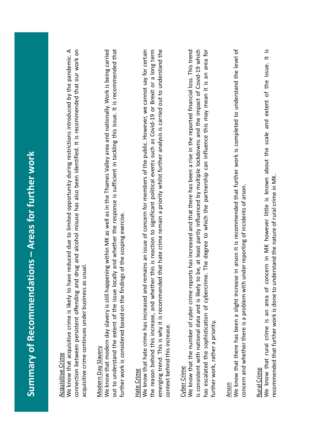| Areas for further work<br><b>TAN CRATE</b> |
|--------------------------------------------|
|                                            |
|                                            |
|                                            |
|                                            |
|                                            |
|                                            |
|                                            |
|                                            |
|                                            |
|                                            |
|                                            |
|                                            |
|                                            |
|                                            |
|                                            |
|                                            |
|                                            |
|                                            |
|                                            |
|                                            |
| <b>WEDNITH DISPOSED</b>                    |
|                                            |
|                                            |
|                                            |
|                                            |
|                                            |
|                                            |
|                                            |
|                                            |
| <b>Example of Recommendations</b>          |
|                                            |
|                                            |
|                                            |
|                                            |
|                                            |
|                                            |
|                                            |
|                                            |
|                                            |
|                                            |
|                                            |
|                                            |
|                                            |
|                                            |
|                                            |

#### Acquisitive Crime **Acquisitive Crime**

We know that acquisitive crime is likely to have reduced due to limited opportunity during restrictions introduced by the pandemic. A We know that acquisitive crime is likely to have reduced due to limited opportunity during restrictions introduced by the pandemic. A connection between persistent offending and drug and alcohol misuse has also been identified. It is recommended that our work on connection between persistent offending and drug and alcohol misuse has also been identified. It is recommended that our work on acquisitive crime continues under business as usual. acquisitive crime continues under business as usual.

#### **Modern Day Slavery** Modern Day Slavery

We know that modern day slavery is still happening within MK as well as in the Thames Valley area and nationally. Work is being carried out to understand the extent of the issue locally and whether the response is sufficient in tackling this issue. It is recommended that out to understand the extent of the issue locally and whether the response is sufficient in tackling this issue. It is recommended that We know that modern day slavery is still happening within MK as well as in the Thames Valley area and nationally. Work is being carried further work is considered based on the findings of the scoping exercise. further work is considered based on the findings of the scoping exercise.

#### Hate Crime Hate Crime

We know that hate crime has increased and remains an issue of concern for members of the public. However, we cannot say for certain emerging trend. This is why it is recommended that hate crime remain a priority whilst further analysis is carried out to understand the the reason behind this increase, and whether this is reaction to significant political events such as Covid-19 or Brexit or a long term emerging trend. This is why it is recommended that hate crime remain a priority whilst further analysis is carried out to understand the We know that hate crime has increased and remains an issue of concern for members of the public. However, we cannot say for certain the reason behind this increase, and whether this is reaction to significant political events such as Covid-19 or Brexit or a long term context behind this increase. context behind this increase.

#### Cyber Crime Cyber Crime

We know that the number of cyber crime reports has increased and that there has been a rise in the reported financial loss. This trend is consistent with national data and is likely to be, at least partly influenced by multiple lockdowns and the impact of Covid-19 which has escalated the sophistication of cybercrime. The degree to which the partnership can influence this may mean it is an area for has escalated the sophistication of cybercrime. The degree to which the partnership can influence this may mean it is an area for We know that the number of cyber crime reports has increased and that there has been a rise in the reported financial loss. This trend is consistent with national data and is likely to be, at least partly influenced by multiple lockdowns and the impact of Covid-19 which further work, rather a priority. further work, rather a priority.

#### Arson

We know that there has been a slight increase in arson It is recommended that further work is completed to understand the level of We know that there has been a slight increase in arson It is recommended that further work is completed to understand the level of concern and whether there is a problem with under reporting of incidents of arson. concern and whether there is a problem with under reporting of incidents of arson.

Rural Crime<br>We know that rural crime is an area of concern in MK however little is known about the scale and extent of the issue. It is We know that rural crime is an area of concern in MK however little is known about the scale and extent of the issue. It is ecommended that further work is done to understand the nature of rural crime in MK. recommended that further work is done to understand the nature of rural crime in MK.